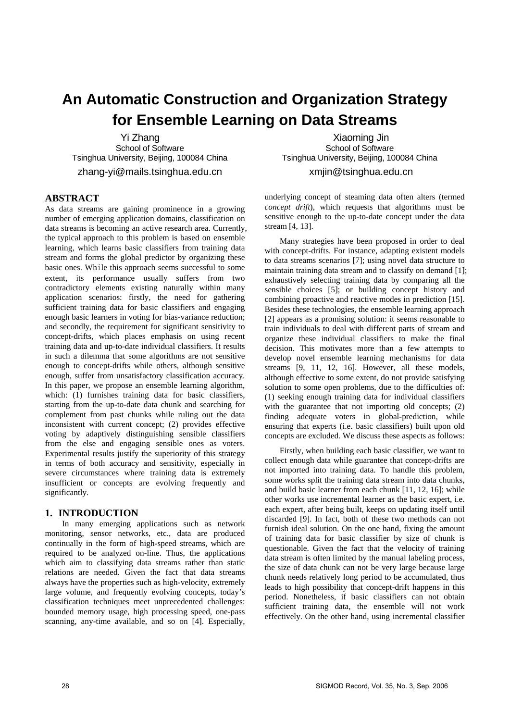# **An Automatic Construction and Organization Strategy for Ensemble Learning on Data Streams**

Yi Zhang Xiaoming Jin School of Software Tsinghua University, Beijing, 100084 China zhang-yi@mails.tsinghua.edu.cn

## **ABSTRACT**

As data streams are gaining prominence in a growing number of emerging application domains, classification on data streams is becoming an active research area. Currently, the typical approach to this problem is based on ensemble learning, which learns basic classifiers from training data stream and forms the global predictor by organizing these basic ones. While this approach seems successful to some extent, its performance usually suffers from two contradictory elements existing naturally within many application scenarios: firstly, the need for gathering sufficient training data for basic classifiers and engaging enough basic learners in voting for bias-variance reduction; and secondly, the requirement for significant sensitivity to concept-drifts, which places emphasis on using recent training data and up-to-date individual classifiers. It results in such a dilemma that some algorithms are not sensitive enough to concept-drifts while others, although sensitive enough, suffer from unsatisfactory classification accuracy. In this paper, we propose an ensemble learning algorithm, which: (1) furnishes training data for basic classifiers, starting from the up-to-date data chunk and searching for complement from past chunks while ruling out the data inconsistent with current concept; (2) provides effective voting by adaptively distinguishing sensible classifiers from the else and engaging sensible ones as voters. Experimental results justify the superiority of this strategy in terms of both accuracy and sensitivity, especially in severe circumstances where training data is extremely insufficient or concepts are evolving frequently and significantly.

# **1. INTRODUCTION**

 In many emerging applications such as network monitoring, sensor networks, etc., data are produced continually in the form of high-speed streams, which are required to be analyzed on-line. Thus, the applications which aim to classifying data streams rather than static relations are needed. Given the fact that data streams always have the properties such as high-velocity, extremely large volume, and frequently evolving concepts, today's classification techniques meet unprecedented challenges: bounded memory usage, high processing speed, one-pass scanning, any-time available, and so on [4]. Especially,

School of Software Tsinghua University, Beijing, 100084 China xmjin@tsinghua.edu.cn

underlying concept of steaming data often alters (termed *concept drift*), which requests that algorithms must be sensitive enough to the up-to-date concept under the data stream [4, 13].

Many strategies have been proposed in order to deal with concept-drifts. For instance, adapting existent models to data streams scenarios [7]; using novel data structure to maintain training data stream and to classify on demand [1]; exhaustively selecting training data by comparing all the sensible choices [5]; or building concept history and combining proactive and reactive modes in prediction [15]. Besides these technologies, the ensemble learning approach [2] appears as a promising solution: it seems reasonable to train individuals to deal with different parts of stream and organize these individual classifiers to make the final decision. This motivates more than a few attempts to develop novel ensemble learning mechanisms for data streams [9, 11, 12, 16]. However, all these models, although effective to some extent, do not provide satisfying solution to some open problems, due to the difficulties of: (1) seeking enough training data for individual classifiers with the guarantee that not importing old concepts; (2) finding adequate voters in global-prediction, while ensuring that experts (i.e. basic classifiers) built upon old concepts are excluded. We discuss these aspects as follows:

Firstly, when building each basic classifier, we want to collect enough data while guarantee that concept-drifts are not imported into training data. To handle this problem, some works split the training data stream into data chunks, and build basic learner from each chunk [11, 12, 16]; while other works use incremental learner as the basic expert, i.e. each expert, after being built, keeps on updating itself until discarded [9]. In fact, both of these two methods can not furnish ideal solution. On the one hand, fixing the amount of training data for basic classifier by size of chunk is questionable. Given the fact that the velocity of training data stream is often limited by the manual labeling process, the size of data chunk can not be very large because large chunk needs relatively long period to be accumulated, thus leads to high possibility that concept-drift happens in this period. Nonetheless, if basic classifiers can not obtain sufficient training data, the ensemble will not work effectively. On the other hand, using incremental classifier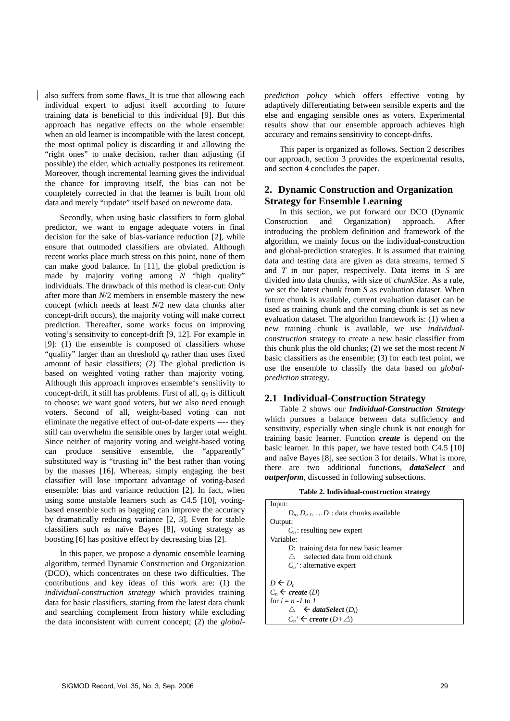also suffers from some flaws. It is true that allowing each individual expert to adjust itself according to future training data is beneficial to this individual [9]. But this approach has negative effects on the whole ensemble: when an old learner is incompatible with the latest concept, the most optimal policy is discarding it and allowing the "right ones" to make decision, rather than adjusting (if possible) the elder, which actually postpones its retirement. Moreover, though incremental learning gives the individual the chance for improving itself, the bias can not be completely corrected in that the learner is built from old data and merely "update" itself based on newcome data.

Secondly, when using basic classifiers to form global predictor, we want to engage adequate voters in final decision for the sake of bias-variance reduction [2], while ensure that outmoded classifiers are obviated. Although recent works place much stress on this point, none of them can make good balance. In [11], the global prediction is made by majority voting among *N* "high quality" individuals. The drawback of this method is clear-cut: Only after more than *N*/2 members in ensemble mastery the new concept (which needs at least *N*/2 new data chunks after concept-drift occurs), the majority voting will make correct prediction. Thereafter, some works focus on improving voting's sensitivity to concept-drift [9, 12]. For example in [9]: (1) the ensemble is composed of classifiers whose "quality" larger than an threshold  $q_0$  rather than uses fixed amount of basic classifiers; (2) The global prediction is based on weighted voting rather than majority voting. Although this approach improves ensemble's sensitivity to concept-drift, it still has problems. First of all, *q0* is difficult to choose: we want good voters, but we also need enough voters. Second of all, weight-based voting can not eliminate the negative effect of out-of-date experts ---- they still can overwhelm the sensible ones by larger total weight. Since neither of majority voting and weight-based voting can produce sensitive ensemble, the "apparently" substituted way is "trusting in" the best rather than voting by the masses [16]. Whereas, simply engaging the best classifier will lose important advantage of voting-based ensemble: bias and variance reduction [2]. In fact, when using some unstable learners such as C4.5 [10], votingbased ensemble such as bagging can improve the accuracy by dramatically reducing variance [2, 3]. Even for stable classifiers such as naïve Bayes [8], voting strategy as boosting [6] has positive effect by decreasing bias [2].

In this paper, we propose a dynamic ensemble learning algorithm, termed Dynamic Construction and Organization (DCO), which concentrates on these two difficulties. The contributions and key ideas of this work are: (1) the *individual-construction strategy* which provides training data for basic classifiers, starting from the latest data chunk and searching complement from history while excluding the data inconsistent with current concept; (2) the *global-* *prediction policy* which offers effective voting by adaptively differentiating between sensible experts and the else and engaging sensible ones as voters. Experimental results show that our ensemble approach achieves high accuracy and remains sensitivity to concept-drifts.

This paper is organized as follows. Section 2 describes our approach, section 3 provides the experimental results, and section 4 concludes the paper.

# **2. Dynamic Construction and Organization Strategy for Ensemble Learning**

In this section, we put forward our DCO (Dynamic Construction and Organization) approach. After introducing the problem definition and framework of the algorithm, we mainly focus on the individual-construction and global-prediction strategies. It is assumed that training data and testing data are given as data streams, termed *S* and *T* in our paper, respectively. Data items in *S* are divided into data chunks, with size of *chunkSize*. As a rule, we set the latest chunk from *S* as evaluation dataset. When future chunk is available, current evaluation dataset can be used as training chunk and the coming chunk is set as new evaluation dataset. The algorithm framework is: (1) when a new training chunk is available, we use *individualconstruction* strategy to create a new basic classifier from this chunk plus the old chunks; (2) we set the most recent *N* basic classifiers as the ensemble; (3) for each test point, we use the ensemble to classify the data based on *globalprediction* strategy.

# **2.1 Individual-Construction Strategy**

Table 2 shows our *Individual-Construction Strategy* which pursues a balance between data sufficiency and sensitivity, especially when single chunk is not enough for training basic learner. Function *create* is depend on the basic learner. In this paper, we have tested both C4.5 [10] and naïve Bayes [8], see section 3 for details. What is more, there are two additional functions, *dataSelect* and *outperform*, discussed in following subsections.

## **Table 2. Individual-construction strategy**

| Input:                                              |
|-----------------------------------------------------|
| $D_n, D_{n-1}, \ldots, D_1$ : data chunks available |
| Output:                                             |
| $C_n$ : resulting new expert                        |
| Variable:                                           |
| D: training data for new basic learner              |
| selected data from old chunk:                       |
| $C_n$ ': alternative expert                         |
|                                                     |
| $D \leftarrow D_n$                                  |
| $C_n \leftarrow \text{create}(D)$                   |
| for $i = n - l$ to 1                                |
| $\triangle \leftarrow$ dataSelect (D <sub>i</sub> ) |
| $C_n' \leftarrow \text{create } (D + \triangle)$    |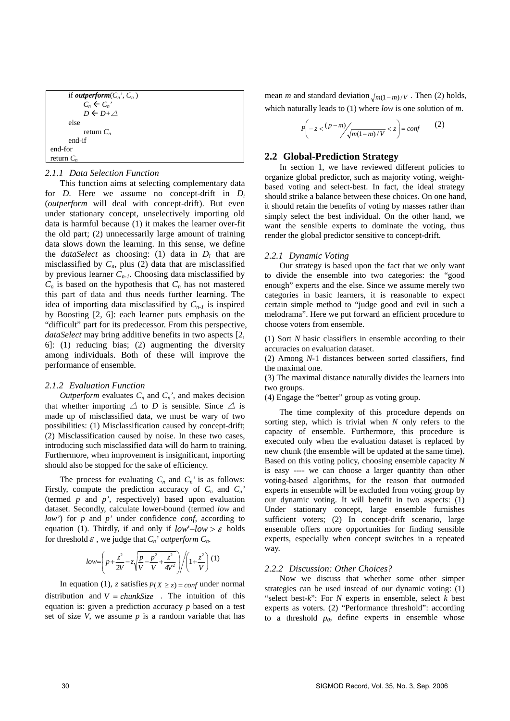| if <i>outperform</i> $(C_n, C_n)$ |
|-----------------------------------|
| $C_n \leftarrow C_n'$             |
| $D \leftarrow D + \triangle$      |
| else                              |
| return $C_n$                      |
| end-if                            |
| end-for                           |
| return $C_n$                      |

# *2.1.1 Data Selection Function*

This function aims at selecting complementary data for *D*. Here we assume no concept-drift in *Di*  (*outperform* will deal with concept-drift). But even under stationary concept, unselectively importing old data is harmful because (1) it makes the learner over-fit the old part; (2) unnecessarily large amount of training data slows down the learning. In this sense, we define the *dataSelect* as choosing: (1) data in  $D_i$  that are misclassified by  $C_n$ , plus (2) data that are misclassified by previous learner  $C_{n-1}$ . Choosing data misclassified by  $C_n$  is based on the hypothesis that  $C_n$  has not mastered this part of data and thus needs further learning. The idea of importing data misclassified by  $C_{n-1}$  is inspired by Boosting [2, 6]: each learner puts emphasis on the "difficult" part for its predecessor. From this perspective, *dataSelect* may bring additive benefits in two aspects [2, 6]: (1) reducing bias; (2) augmenting the diversity among individuals. Both of these will improve the performance of ensemble.

#### *2.1.2 Evaluation Function*

*Outperform* evaluates  $C_n$  and  $C_n$ <sup>'</sup>, and makes decision that whether importing  $\triangle$  to *D* is sensible. Since  $\triangle$  is made up of misclassified data, we must be wary of two possibilities: (1) Misclassification caused by concept-drift; (2) Misclassification caused by noise. In these two cases, introducing such misclassified data will do harm to training. Furthermore, when improvement is insignificant, importing should also be stopped for the sake of efficiency.

The process for evaluating  $C_n$  and  $C_n$ ' is as follows: Firstly, compute the prediction accuracy of  $C_n$  and  $C_n$ <sup>'</sup> (termed *p* and *p'*, respectively) based upon evaluation dataset. Secondly, calculate lower-bound (termed *low* and *low'*) for *p* and *p'* under confidence *conf*, according to equation (1). Thirdly, if and only if  $low'$ −*low* >  $\varepsilon$  holds for threshold  $\mathcal E$ , we judge that  $C_n$ ' *outperform*  $C_n$ .

$$
low = \left( p + \frac{z^2}{2V} - z \sqrt{\frac{p}{V} - \frac{p^2}{V} + \frac{z^2}{4V^2}} \right) / \left( 1 + \frac{z^2}{V} \right) (1)
$$

In equation (1), *z* satisfies  $P(X \ge z) = \text{conf}$  under normal distribution and  $V = chunkSize$ . The intuition of this equation is: given a prediction accuracy *p* based on a test set of size  $V$ , we assume  $p$  is a random variable that has mean *m* and standard deviation  $\sqrt{m(1-m)/V}$ . Then (2) holds, which naturally leads to (1) where *low* is one solution of *m*.

$$
P\left(-z < \frac{(p-m)}{\sqrt{m(1-m)/V}} < z\right) = \text{conf} \tag{2}
$$

## **2.2 Global-Prediction Strategy**

In section 1, we have reviewed different policies to organize global predictor, such as majority voting, weightbased voting and select-best. In fact, the ideal strategy should strike a balance between these choices. On one hand, it should retain the benefits of voting by masses rather than simply select the best individual. On the other hand, we want the sensible experts to dominate the voting, thus render the global predictor sensitive to concept-drift.

#### *2.2.1 Dynamic Voting*

Our strategy is based upon the fact that we only want to divide the ensemble into two categories: the "good enough" experts and the else. Since we assume merely two categories in basic learners, it is reasonable to expect certain simple method to "judge good and evil in such a melodrama". Here we put forward an efficient procedure to choose voters from ensemble.

(1) Sort *N* basic classifiers in ensemble according to their accuracies on evaluation dataset.

(2) Among *N*-1 distances between sorted classifiers, find the maximal one.

(3) The maximal distance naturally divides the learners into two groups.

(4) Engage the "better" group as voting group.

The time complexity of this procedure depends on sorting step, which is trivial when *N* only refers to the capacity of ensemble. Furthermore, this procedure is executed only when the evaluation dataset is replaced by new chunk (the ensemble will be updated at the same time). Based on this voting policy, choosing ensemble capacity *N* is easy ---- we can choose a larger quantity than other voting-based algorithms, for the reason that outmoded experts in ensemble will be excluded from voting group by our dynamic voting. It will benefit in two aspects: (1) Under stationary concept, large ensemble furnishes sufficient voters; (2) In concept-drift scenario, large ensemble offers more opportunities for finding sensible experts, especially when concept switches in a repeated way.

#### *2.2.2 Discussion: Other Choices?*

Now we discuss that whether some other simper strategies can be used instead of our dynamic voting: (1) "select best-*k*": For *N* experts in ensemble, select *k* best experts as voters. (2) "Performance threshold": according to a threshold  $p_0$ , define experts in ensemble whose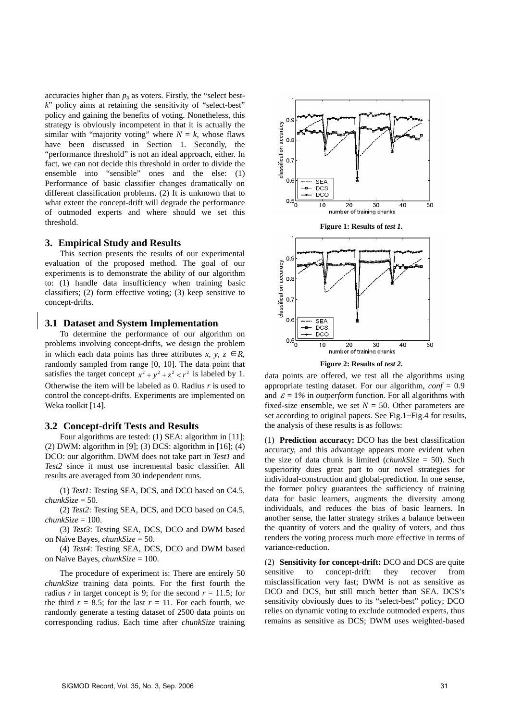accuracies higher than  $p_0$  as voters. Firstly, the "select best*k*" policy aims at retaining the sensitivity of "select-best" policy and gaining the benefits of voting. Nonetheless, this strategy is obviously incompetent in that it is actually the similar with "majority voting" where  $N = k$ , whose flaws have been discussed in Section 1. Secondly, the "performance threshold" is not an ideal approach, either. In fact, we can not decide this threshold in order to divide the ensemble into "sensible" ones and the else: (1) Performance of basic classifier changes dramatically on different classification problems. (2) It is unknown that to what extent the concept-drift will degrade the performance of outmoded experts and where should we set this threshold.

#### **3. Empirical Study and Results**

This section presents the results of our experimental evaluation of the proposed method. The goal of our experiments is to demonstrate the ability of our algorithm to: (1) handle data insufficiency when training basic classifiers; (2) form effective voting; (3) keep sensitive to concept-drifts.

#### **3.1 Dataset and System Implementation**

To determine the performance of our algorithm on problems involving concept-drifts, we design the problem in which each data points has three attributes *x*, *y*,  $z \in R$ , randomly sampled from range [0, 10]. The data point that satisfies the target concept  $x^2 + y^2 + z^2 < r^2$  is labeled by 1. Otherwise the item will be labeled as 0. Radius *r* is used to control the concept-drifts. Experiments are implemented on Weka toolkit [14].

#### **3.2 Concept-drift Tests and Results**

Four algorithms are tested: (1) SEA: algorithm in [11]; (2) DWM: algorithm in [9]; (3) DCS: algorithm in [16]; (4) DCO: our algorithm. DWM does not take part in *Test1* and *Test2* since it must use incremental basic classifier. All results are averaged from 30 independent runs.

(1) *Test1*: Testing SEA, DCS, and DCO based on C4.5, *chunkSize* = 50.

(2) *Test2*: Testing SEA, DCS, and DCO based on C4.5, *chunkSize* = 100.

(3) *Test3*: Testing SEA, DCS, DCO and DWM based on Naïve Bayes, *chunkSize* = 50.

(4) *Test4*: Testing SEA, DCS, DCO and DWM based on Naïve Bayes, *chunkSize* = 100.

The procedure of experiment is: There are entirely 50 *chunkSize* training data points. For the first fourth the radius *r* in target concept is 9; for the second  $r = 11.5$ ; for the third  $r = 8.5$ ; for the last  $r = 11$ . For each fourth, we randomly generate a testing dataset of 2500 data points on corresponding radius. Each time after *chunkSize* training



**Figure 2: Results of** *test 2***.** 

data points are offered, we test all the algorithms using appropriate testing dataset. For our algorithm, *conf* = 0.9 and  $\mathcal{E} = 1\%$  in *outperform* function. For all algorithms with fixed-size ensemble, we set  $N = 50$ . Other parameters are set according to original papers. See Fig.1~Fig.4 for results, the analysis of these results is as follows:

(1) **Prediction accuracy:** DCO has the best classification accuracy, and this advantage appears more evident when the size of data chunk is limited (*chunkSize* = 50). Such superiority dues great part to our novel strategies for individual-construction and global-prediction. In one sense, the former policy guarantees the sufficiency of training data for basic learners, augments the diversity among individuals, and reduces the bias of basic learners. In another sense, the latter strategy strikes a balance between the quantity of voters and the quality of voters, and thus renders the voting process much more effective in terms of variance-reduction.

(2) **Sensitivity for concept-drift:** DCO and DCS are quite sensitive to concept-drift: they recover from misclassification very fast; DWM is not as sensitive as DCO and DCS, but still much better than SEA. DCS's sensitivity obviously dues to its "select-best" policy; DCO relies on dynamic voting to exclude outmoded experts, thus remains as sensitive as DCS; DWM uses weighted-based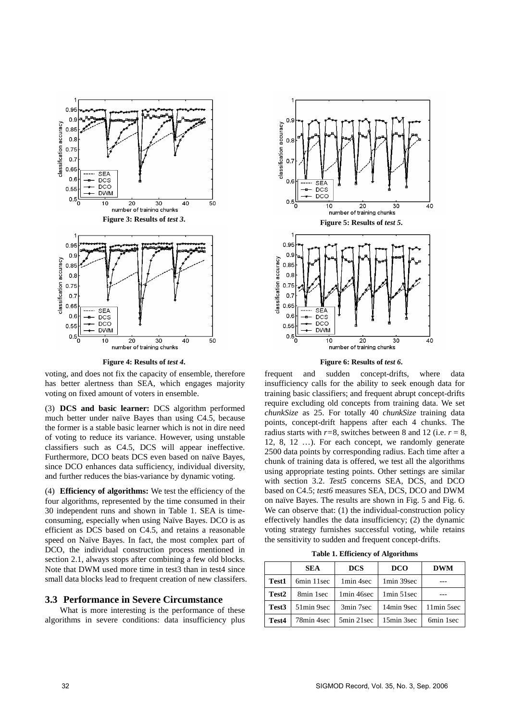

**Figure 4: Results of** *test 4***.** 

voting, and does not fix the capacity of ensemble, therefore has better alertness than SEA, which engages majority voting on fixed amount of voters in ensemble.

(3) **DCS and basic learner:** DCS algorithm performed much better under naïve Bayes than using C4.5, because the former is a stable basic learner which is not in dire need of voting to reduce its variance. However, using unstable classifiers such as C4.5, DCS will appear ineffective. Furthermore, DCO beats DCS even based on naïve Bayes, since DCO enhances data sufficiency, individual diversity, and further reduces the bias-variance by dynamic voting.

(4) **Efficiency of algorithms:** We test the efficiency of the four algorithms, represented by the time consumed in their 30 independent runs and shown in Table 1. SEA is timeconsuming, especially when using Naïve Bayes. DCO is as efficient as DCS based on C4.5, and retains a reasonable speed on Naïve Bayes. In fact, the most complex part of DCO, the individual construction process mentioned in section 2.1, always stops after combining a few old blocks. Note that DWM used more time in test3 than in test4 since small data blocks lead to frequent creation of new classifers.

#### **3.3 Performance in Severe Circumstance**

What is more interesting is the performance of these algorithms in severe conditions: data insufficiency plus



**Figure 6: Results of** *test 6***.** 

frequent and sudden concept-drifts, where data insufficiency calls for the ability to seek enough data for training basic classifiers; and frequent abrupt concept-drifts require excluding old concepts from training data. We set *chunkSize* as 25. For totally 40 *chunkSize* training data points, concept-drift happens after each 4 chunks. The radius starts with  $r=8$ , switches between 8 and 12 (i.e.  $r=8$ , 12, 8, 12 …). For each concept, we randomly generate 2500 data points by corresponding radius. Each time after a chunk of training data is offered, we test all the algorithms using appropriate testing points. Other settings are similar with section 3.2. *Test5* concerns SEA, DCS, and DCO based on C4.5; *test6* measures SEA, DCS, DCO and DWM on naïve Bayes. The results are shown in Fig. 5 and Fig. 6. We can observe that: (1) the individual-construction policy effectively handles the data insufficiency; (2) the dynamic voting strategy furnishes successful voting, while retains the sensitivity to sudden and frequent concept-drifts.

**Table 1. Efficiency of Algorithms** 

|                   | <b>SEA</b>   | <b>DCS</b>                 | <b>DCO</b>                | <b>DWM</b> |
|-------------------|--------------|----------------------------|---------------------------|------------|
| Test1             | 6min 11sec   | 1 min 4 sec                | 1min 39sec                |            |
| Test <sub>2</sub> | 8min 1sec    |                            | $1min$ 46sec $1min$ 51sec |            |
| Test <sub>3</sub> | 51min 9sec   | 3min 7sec                  | 14min 9sec   11min 5sec   |            |
| Test4             | 78 min 4 sec | $5\text{min} 21\text{sec}$ | 15min 3sec                | 6min 1sec  |